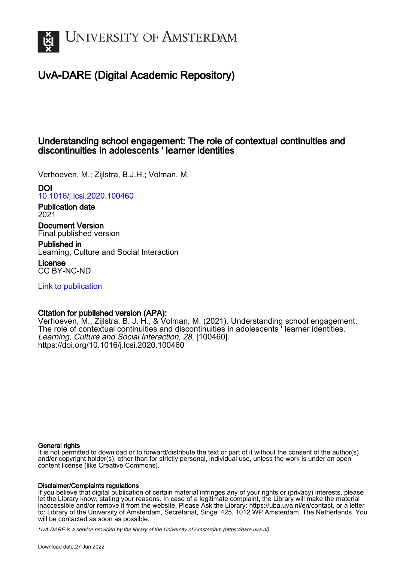

# UvA-DARE (Digital Academic Repository)

# Understanding school engagement: The role of contextual continuities and discontinuities in adolescents ' learner identities

Verhoeven, M.; Zijlstra, B.J.H.; Volman, M.

# DOI

[10.1016/j.lcsi.2020.100460](https://doi.org/10.1016/j.lcsi.2020.100460)

Publication date 2021

Document Version Final published version

Published in Learning, Culture and Social Interaction

License CC BY-NC-ND

[Link to publication](https://dare.uva.nl/personal/pure/en/publications/understanding-school-engagement-the-role-of-contextual-continuities-and-discontinuities-in-adolescents--learner-identities(6469001e-0cf0-4a9e-8107-1145e7740c58).html)

# Citation for published version (APA):

Verhoeven, M., Zijlstra, B. J. H., & Volman, M. (2021). Understanding school engagement: The role of contextual continuities and discontinuities in adolescents ' learner identities. Learning, Culture and Social Interaction, 28, [100460]. <https://doi.org/10.1016/j.lcsi.2020.100460>

# General rights

It is not permitted to download or to forward/distribute the text or part of it without the consent of the author(s) and/or copyright holder(s), other than for strictly personal, individual use, unless the work is under an open content license (like Creative Commons).

# Disclaimer/Complaints regulations

If you believe that digital publication of certain material infringes any of your rights or (privacy) interests, please let the Library know, stating your reasons. In case of a legitimate complaint, the Library will make the material inaccessible and/or remove it from the website. Please Ask the Library: https://uba.uva.nl/en/contact, or a letter to: Library of the University of Amsterdam, Secretariat, Singel 425, 1012 WP Amsterdam, The Netherlands. You will be contacted as soon as possible.

UvA-DARE is a service provided by the library of the University of Amsterdam (http*s*://dare.uva.nl)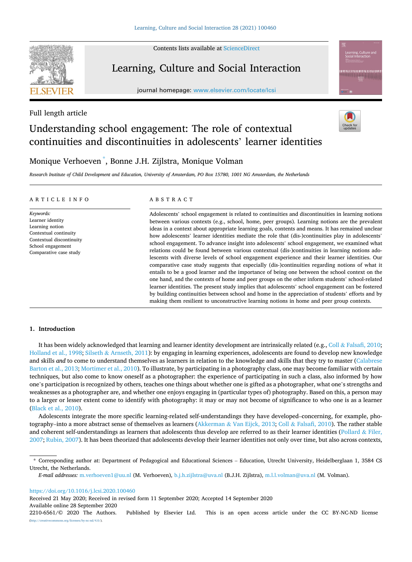Contents lists available at [ScienceDirect](www.sciencedirect.com/science/journal/22106561)



Full length article

# Learning, Culture and Social Interaction

journal homepage: [www.elsevier.com/locate/lcsi](https://www.elsevier.com/locate/lcsi) 



# Understanding school engagement: The role of contextual continuities and discontinuities in adolescents' learner identities

# Monique Verhoeven \* , Bonne J.H. Zijlstra, Monique Volman

*Research Institute of Child Development and Education, University of Amsterdam, PO Box 15780, 1001 NG Amsterdam, the Netherlands* 

### ARTICLE INFO

*Keywords:*  Learner identity Learning notion Contextual continuity Contextual discontinuity School engagement Comparative case study

# ABSTRACT

Adolescents' school engagement is related to continuities and discontinuities in learning notions between various contexts (e.g., school, home, peer groups). Learning notions are the prevalent ideas in a context about appropriate learning goals, contents and means. It has remained unclear how adolescents' learner identities mediate the role that (dis-)continuities play in adolescents' school engagement. To advance insight into adolescents' school engagement, we examined what relations could be found between various contextual (dis-)continuities in learning notions adolescents with diverse levels of school engagement experience and their learner identities. Our comparative case study suggests that especially (dis-)continuities regarding notions of what it entails to be a good learner and the importance of being one between the school context on the one hand, and the contexts of home and peer groups on the other inform students' school-related learner identities. The present study implies that adolescents' school engagement can be fostered by building continuities between school and home in the appreciation of students' efforts and by making them resilient to unconstructive learning notions in home and peer group contexts.

## **1. Introduction**

It has been widely acknowledged that learning and learner identity development are intrinsically related (e.g., Coll & [Falsafi, 2010](#page-16-0); [Holland et al., 1998;](#page-17-0) Silseth & [Arnseth, 2011](#page-17-0)): by engaging in learning experiences, adolescents are found to develop new knowledge and skills *and* to come to understand themselves as learners in relation to the knowledge and skills that they try to master [\(Calabrese](#page-16-0) [Barton et al., 2013](#page-16-0); [Mortimer et al., 2010](#page-17-0)). To illustrate, by participating in a photography class, one may become familiar with certain techniques, but also come to know oneself as a photographer: the experience of participating in such a class, also informed by how one's participation is recognized by others, teaches one things about whether one is gifted as a photographer, what one's strengths and weaknesses as a photographer are, and whether one enjoys engaging in (particular types of) photography. Based on this, a person may to a larger or lesser extent come to identify with photography: it may or may not become of significance to who one is as a learner [\(Black et al., 2010\)](#page-16-0).

Adolescents integrate the more specific learning-related self-understandings they have developed–concerning, for example, photography–into a more abstract sense of themselves as learners (Akkerman & [Van Eijck, 2013;](#page-16-0) Coll & [Falsafi, 2010](#page-16-0)). The rather stable and coherent self-understandings as learners that adolescents thus develop are referred to as their learner identities ([Pollard](#page-17-0)  $&$  Filer, [2007; Rubin, 2007](#page-17-0)). It has been theorized that adolescents develop their learner identities not only over time, but also across contexts,

<https://doi.org/10.1016/j.lcsi.2020.100460>

Received 21 May 2020; Received in revised form 11 September 2020; Accepted 14 September 2020

Available online 28 September 2020

<sup>\*</sup> Corresponding author at: Department of Pedagogical and Educational Sciences – Education, Utrecht University, Heidelberglaan 1, 3584 CS Utrecht, the Netherlands.

*E-mail addresses:* [m.verhoeven1@uu.nl](mailto:m.verhoeven1@uu.nl) (M. Verhoeven), [b.j.h.zijlstra@uva.nl](mailto:b.j.h.zijlstra@uva.nl) (B.J.H. Zijlstra), [m.l.l.volman@uva.nl](mailto:m.l.l.volman@uva.nl) (M. Volman).

<sup>2210-6561/© 2020</sup> The Authors. Published by Elsevier Ltd. This is an open access article under the CC BY-NC-ND license [\(http://creativecommons.org/licenses/by-nc-nd/4.0/\)](http://creativecommons.org/licenses/by-nc-nd/4.0/).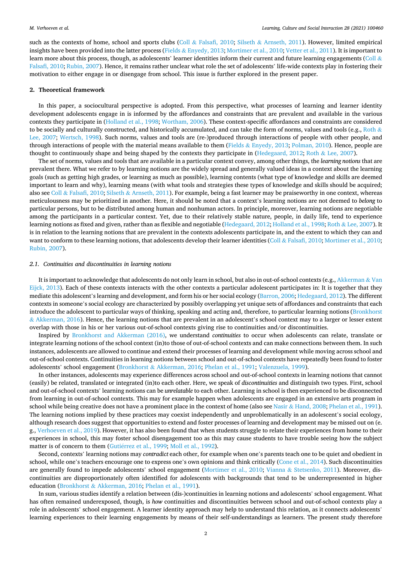such as the contexts of home, school and sports clubs (Coll & [Falsafi, 2010;](#page-16-0) Silseth & [Arnseth, 2011](#page-17-0)). However, limited empirical insights have been provided into the latter process (Fields & [Enyedy, 2013;](#page-16-0) [Mortimer et al., 2010; Vetter et al., 2011](#page-17-0)). It is important to learn more about this process, though, as adolescents' learner identities inform their current and future learning engagements [\(Coll](#page-16-0)  $\&$ [Falsafi, 2010](#page-16-0); [Rubin, 2007](#page-17-0)). Hence, it remains rather unclear what role the set of adolescents' life-wide contexts play in fostering their motivation to either engage in or disengage from school. This issue is further explored in the present paper.

## **2. Theoretical framework**

In this paper, a sociocultural perspective is adopted. From this perspective, what processes of learning and learner identity development adolescents engage in is informed by the affordances and constraints that are prevalent and available in the various contexts they participate in ([Holland et al., 1998](#page-17-0); [Wortham, 2006](#page-17-0)). These context-specific affordances and constraints are considered to be socially and culturally constructed, and historically accumulated, and can take the form of norms, values and tools (e.g., [Roth](#page-17-0)  $\&$ [Lee, 2007](#page-17-0); [Wertsch, 1998\)](#page-17-0). Such norms, values and tools are (re-)produced through interactions of people with other people, and through interactions of people with the material means available to them (Fields & [Enyedy, 2013](#page-16-0); [Polman, 2010\)](#page-17-0). Hence, people are thought to continuously shape and being shaped by the contexts they participate in ([Hedegaard, 2012](#page-17-0); Roth & [Lee, 2007](#page-17-0)).

The set of norms, values and tools that are available in a particular context convey, among other things, the *learning notions* that are prevalent there. What we refer to by learning notions are the widely spread and generally valued ideas in a context about the learning goals (such as getting high grades, or learning as much as possible), learning contents (what type of knowledge and skills are deemed important to learn and why), learning means (with what tools and strategies these types of knowledge and skills should be acquired; also see Coll & [Falsafi, 2010;](#page-16-0) Silseth & [Arnseth, 2011\)](#page-17-0). For example, being a fast learner may be praiseworthy in one context, whereas meticulousness may be prioritized in another. Here, it should be noted that a context's learning notions are not deemed to *belong* to particular persons, but to be distributed among human and nonhuman actors. In principle, moreover, learning notions are negotiable among the participants in a particular context. Yet, due to their relatively stable nature, people, in daily life, tend to experience learning notions as fixed and given, rather than as flexible and negotiable ([Hedegaard, 2012; Holland et al., 1998;](#page-17-0) Roth & [Lee, 2007](#page-17-0)). It is in relation to the learning notions that are prevalent in the contexts adolescents participate in, and the extent to which they can and want to conform to these learning notions, that adolescents develop their learner identities (Coll & [Falsafi, 2010](#page-16-0); [Mortimer et al., 2010](#page-17-0); [Rubin, 2007\)](#page-17-0).

## *2.1. Continuities and discontinuities in learning notions*

It is important to acknowledge that adolescents do not only learn in school, but also in out-of-school contexts (e.g., [Akkerman](#page-16-0)  $\&$  Van [Eijck, 2013](#page-16-0)). Each of these contexts interacts with the other contexts a particular adolescent participates in: It is together that they mediate this adolescent's learning and development, and form his or her social ecology ([Barron, 2006](#page-16-0); [Hedegaard, 2012](#page-17-0)). The different contexts in someone's social ecology are characterized by possibly overlapping yet unique sets of affordances and constraints that each introduce the adolescent to particular ways of thinking, speaking and acting and, therefore, to particular learning notions [\(Bronkhorst](#page-16-0) & [Akkerman, 2016](#page-16-0)). Hence, the learning notions that are prevalent in an adolescent's school context may to a larger or lesser extent overlap with those in his or her various out-of-school contexts giving rise to continuities and/or discontinuities.

Inspired by [Bronkhorst and Akkerman \(2016\)](#page-16-0), we understand *continuities* to occur when adolescents can relate, translate or integrate learning notions of the school context (in)to those of out-of-school contexts and can make connections between them. In such instances, adolescents are allowed to continue and extend their processes of learning and development while moving across school and out-of-school contexts. Continuities in learning notions between school and out-of-school contexts have repeatedly been found to foster adolescents' school engagement (Bronkhorst & [Akkerman, 2016](#page-16-0); [Phelan et al., 1991](#page-17-0); [Valenzuela, 1999](#page-17-0)).

In other instances, adolescents may experience differences across school and out-of-school contexts in learning notions that cannot (easily) be related, translated or integrated (in)to each other. Here, we speak of *discontinuities* and distinguish two types. First, school and out-of-school contexts' learning notions can be *unrelatable* to each other. Learning in school is then experienced to be disconnected from learning in out-of-school contexts. This may for example happen when adolescents are engaged in an extensive arts program in school while being creative does not have a prominent place in the context of home (also see Nasir & [Hand, 2008](#page-17-0); [Phelan et al., 1991](#page-17-0)). The learning notions implied by these practices may coexist independently and unproblematically in an adolescent's social ecology, although research does suggest that opportunities to extend and foster processes of learning and development may be missed out on (e. g., [Verhoeven et al., 2019](#page-17-0)). However, it has also been found that when students struggle to relate their experiences from home to their experiences in school, this may foster school disengagement too as this may cause students to have trouble seeing how the subject matter is of concern to them (Gutiérrez et al., 1999; Moll et al., 1992).

Second, contexts' learning notions may *contradict* each other, for example when one's parents teach one to be quiet and obedient in school, while one's teachers encourage one to express one's own opinions and think critically ([Cone et al., 2014\)](#page-16-0). Such discontinuities are generally found to impede adolescents' school engagement ([Mortimer et al., 2010](#page-17-0); Vianna & [Stetsenko, 2011\)](#page-17-0). Moreover, discontinuities are disproportionately often identified for adolescents with backgrounds that tend to be underrepresented in higher education (Bronkhorst & [Akkerman, 2016;](#page-16-0) [Phelan et al., 1991](#page-17-0)).

In sum, various studies identify a relation between (dis-)continuities in learning notions and adolescents' school engagement. What has often remained underexposed, though, is *how* continuities and discontinuities between school and out-of-school contexts play a role in adolescents' school engagement. A learner identity approach may help to understand this relation, as it connects adolescents' learning experiences to their learning engagements by means of their self-understandings as learners. The present study therefore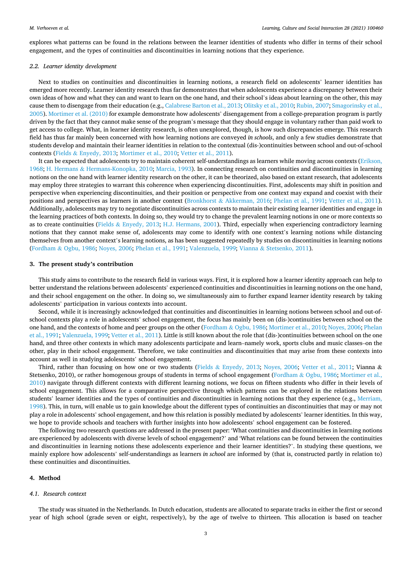explores what patterns can be found in the relations between the learner identities of students who differ in terms of their school engagement, and the types of continuities and discontinuities in learning notions that they experience.

#### *2.2. Learner identity development*

Next to studies on continuities and discontinuities in learning notions, a research field on adolescents' learner identities has emerged more recently. Learner identity research thus far demonstrates that when adolescents experience a discrepancy between their own ideas of how and what they can and want to learn on the one hand, and their school's ideas about learning on the other, this may cause them to disengage from their education (e.g., [Calabrese Barton et al., 2013](#page-16-0); [Olitsky et al., 2010](#page-17-0); [Rubin, 2007](#page-17-0); [Smagorinsky et al.,](#page-17-0) [2005\)](#page-17-0). [Mortimer et al. \(2010\)](#page-17-0) for example demonstrate how adolescents' disengagement from a college-preparation program is partly driven by the fact that they cannot make sense of the program's message that they should engage in voluntary rather than paid work to get access to college. What, in learner identity research, is often unexplored, though, is how such discrepancies emerge. This research field has thus far mainly been concerned with how learning notions are conveyed *in schools*, and only a few studies demonstrate that students develop and maintain their learner identities in relation to the contextual (dis-)continuities between school and out-of-school contexts (Fields & [Enyedy, 2013;](#page-16-0) [Mortimer et al., 2010](#page-17-0); [Vetter et al., 2011](#page-17-0)).

It can be expected that adolescents try to maintain coherent self-understandings as learners while moving across contexts ([Erikson,](#page-16-0) [1968;](#page-16-0) H. Hermans & [Hermans-Konopka, 2010; Marcia, 1993](#page-17-0)). In connecting research on continuities and discontinuities in learning notions on the one hand with learner identity research on the other, it can be theorized, also based on extant research, that adolescents may employ three strategies to warrant this coherence when experiencing discontinuities. First, adolescents may shift in position and perspective when experiencing discontinuities, and their position or perspective from one context may expand and coexist with their positions and perspectives as learners in another context (Bronkhorst & [Akkerman, 2016](#page-16-0); [Phelan et al., 1991;](#page-17-0) [Vetter et al., 2011](#page-17-0)). Additionally, adolescents may try to negotiate discontinuities across contexts to maintain their existing learner identities and engage in the learning practices of both contexts. In doing so, they would try to change the prevalent learning notions in one or more contexts so as to create continuities (Fields & [Enyedy, 2013;](#page-16-0) [H.J. Hermans, 2001\)](#page-17-0). Third, especially when experiencing contradictory learning notions that they cannot make sense of, adolescents may come to identify with one context's learning notions while distancing themselves from another context's learning notions, as has been suggested repeatedly by studies on discontinuities in learning notions (Fordham & [Ogbu, 1986](#page-17-0); [Noyes, 2006; Phelan et al., 1991](#page-17-0); [Valenzuela, 1999;](#page-17-0) Vianna & [Stetsenko, 2011\)](#page-17-0).

#### **3. The present study's contribution**

This study aims to contribute to the research field in various ways. First, it is explored how a learner identity approach can help to better understand the relations between adolescents' experienced continuities and discontinuities in learning notions on the one hand, and their school engagement on the other. In doing so, we simultaneously aim to further expand learner identity research by taking adolescents' participation in various contexts into account.

Second, while it is increasingly acknowledged that continuities and discontinuities in learning notions between school and out-ofschool contexts play a role in adolescents' school engagement, the focus has mainly been on (dis-)continuities between school on the one hand, and the contexts of home and peer groups on the other (Fordham & [Ogbu, 1986](#page-17-0); [Mortimer et al., 2010; Noyes, 2006](#page-17-0); [Phelan](#page-17-0) [et al., 1991](#page-17-0); [Valenzuela, 1999; Vetter et al., 2011\)](#page-17-0). Little is still known about the role that (dis-)continuities between school on the one hand, and three other contexts in which many adolescents participate and learn–namely work, sports clubs and music classes–on the other, play in their school engagement. Therefore, we take continuities and discontinuities that may arise from these contexts into account as well in studying adolescents' school engagement.

Third, rather than focusing on how one or two students (Fields & [Enyedy, 2013](#page-16-0); [Noyes, 2006;](#page-17-0) [Vetter et al., 2011;](#page-17-0) Vianna & Stetsenko, 2010), or rather homogenous groups of students in terms of school engagement (Fordham & [Ogbu, 1986; Mortimer et al.,](#page-17-0) [2010\)](#page-17-0) navigate through different contexts with different learning notions, we focus on fifteen students who differ in their levels of school engagement. This allows for a comparative perspective through which patterns can be explored in the relations between students' learner identities and the types of continuities and discontinuities in learning notions that they experience (e.g., [Merriam,](#page-17-0) [1998\)](#page-17-0). This, in turn, will enable us to gain knowledge about the different types of continuities an discontinuities that may or may not play a role in adolescents' school engagement, and how this relation is possibly mediated by adolescents' learner identities. In this way, we hope to provide schools and teachers with further insights into how adolescents' school engagement can be fostered.

The following two research questions are addressed in the present paper: 'What continuities and discontinuities in learning notions are experienced by adolescents with diverse levels of school engagement?' and 'What relations can be found between the continuities and discontinuities in learning notions these adolescents experience and their learner identities?'. In studying these questions, we mainly explore how adolescents' self-understandings as learners *in school* are informed by (that is, constructed partly in relation to) these continuities and discontinuities.

#### **4. Method**

# *4.1. Research context*

The study was situated in the Netherlands. In Dutch education, students are allocated to separate tracks in either the first or second year of high school (grade seven or eight, respectively), by the age of twelve to thirteen. This allocation is based on teacher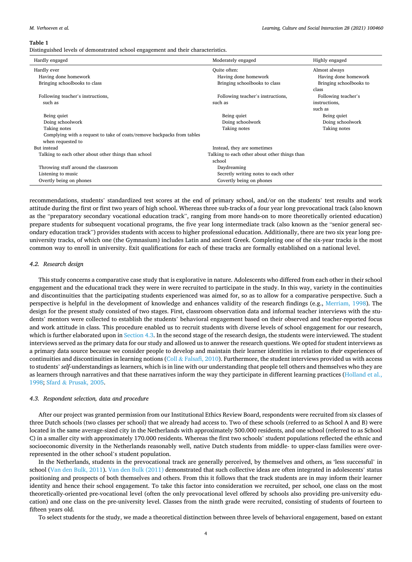#### <span id="page-4-0"></span>**Table 1**

Distinguished levels of demonstrated school engagement and their characteristics.

| Hardly engaged                                                         | Moderately engaged                            | Highly engaged          |
|------------------------------------------------------------------------|-----------------------------------------------|-------------------------|
| Hardly ever                                                            | Quite often:                                  | Almost always           |
| Having done homework                                                   | Having done homework                          | Having done homework    |
| Bringing schoolbooks to class                                          | Bringing schoolbooks to class                 | Bringing schoolbooks to |
|                                                                        |                                               | class                   |
| Following teacher's instructions,                                      | Following teacher's instructions,             | Following teacher's     |
| such as                                                                | such as                                       | instructions,           |
|                                                                        |                                               | such as                 |
| Being quiet                                                            | Being quiet                                   | Being quiet             |
| Doing schoolwork                                                       | Doing schoolwork                              | Doing schoolwork        |
| Taking notes                                                           | Taking notes                                  | Taking notes            |
| Complying with a request to take of coats/remove backpacks from tables |                                               |                         |
| when requested to                                                      |                                               |                         |
| But instead                                                            | Instead, they are sometimes                   |                         |
| Talking to each other about other things than school                   | Talking to each other about other things than |                         |
|                                                                        | school                                        |                         |
| Throwing stuff around the classroom                                    | Daydreaming                                   |                         |
| Listening to music                                                     | Secretly writing notes to each other          |                         |
| Overtly being on phones                                                | Covertly being on phones                      |                         |

recommendations, students' standardized test scores at the end of primary school, and/or on the students' test results and work attitude during the first or first two years of high school. Whereas three sub-tracks of a four year long prevocational track (also known as the "preparatory secondary vocational education track", ranging from more hands-on to more theoretically oriented education) prepare students for subsequent vocational programs, the five year long intermediate track (also known as the "senior general secondary education track") provides students with access to higher professional education. Additionally, there are two six year long preuniversity tracks, of which one (the Gymnasium) includes Latin and ancient Greek. Completing one of the six-year tracks is the most common way to enroll in university. Exit qualifications for each of these tracks are formally established on a national level.

#### *4.2. Research design*

This study concerns a comparative case study that is explorative in nature. Adolescents who differed from each other in their school engagement and the educational track they were in were recruited to participate in the study. In this way, variety in the continuities and discontinuities that the participating students experienced was aimed for, so as to allow for a comparative perspective. Such a perspective is helpful in the development of knowledge and enhances validity of the research findings (e.g., [Merriam, 1998\)](#page-17-0). The design for the present study consisted of two stages. First, classroom observation data and informal teacher interviews with the students' mentors were collected to establish the students' behavioral engagement based on their observed and teacher-reported focus and work attitude in class. This procedure enabled us to recruit students with diverse levels of school engagement for our research, which is further elaborated upon in Section 4.3. In the second stage of the research design, the students were interviewed. The student interviews served as the primary data for our study and allowed us to answer the research questions. We opted for student interviews as a primary data source because we consider people to develop and maintain their learner identities in relation to *their* experiences of continuities and discontinuities in learning notions (Coll & [Falsafi, 2010\)](#page-16-0). Furthermore, the student interviews provided us with access to students' *self*-understandings as learners, which is in line with our understanding that people tell others and themselves who they are as learners through narratives and that these narratives inform the way they participate in different learning practices ([Holland et al.,](#page-17-0) [1998;](#page-17-0) Sfard & [Prusak, 2005](#page-17-0).

### *4.3. Respondent selection, data and procedure*

After our project was granted permission from our Institutional Ethics Review Board, respondents were recruited from six classes of three Dutch schools (two classes per school) that we already had access to. Two of these schools (referred to as School A and B) were located in the same average-sized city in the Netherlands with approximately 500.000 residents, and one school (referred to as School C) in a smaller city with approximately 170.000 residents. Whereas the first two schools' student populations reflected the ethnic and socioeconomic diversity in the Netherlands reasonably well, native Dutch students from middle- to upper-class families were overrepresented in the other school's student population.

In the Netherlands, students in the prevocational track are generally perceived, by themselves and others, as 'less successful' in school ([Van den Bulk, 2011\)](#page-17-0). [Van den Bulk \(2011\)](#page-17-0) demonstrated that such collective ideas are often integrated in adolescents' status positioning and prospects of both themselves and others. From this it follows that the track students are in may inform their learner identity and hence their school engagement. To take this factor into consideration we recruited, per school, one class on the most theoretically-oriented pre-vocational level (often the only prevocational level offered by schools also providing pre-university education) and one class on the pre-university level. Classes from the ninth grade were recruited, consisting of students of fourteen to fifteen years old.

To select students for the study, we made a theoretical distinction between three levels of behavioral engagement, based on extant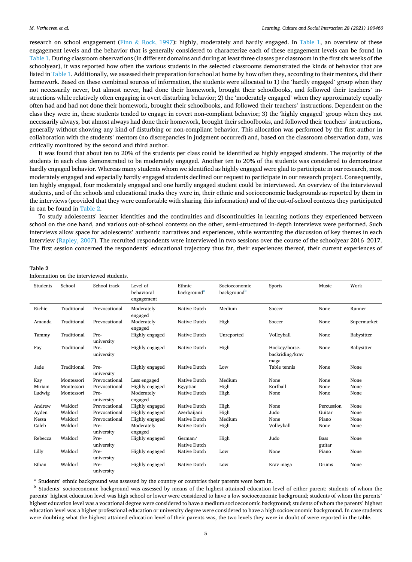<span id="page-5-0"></span>research on school engagement (Finn & [Rock, 1997\)](#page-17-0): highly, moderately and hardly engaged. In [Table 1,](#page-4-0) an overview of these engagement levels and the behavior that is generally considered to characterize each of these engagement levels can be found in [Table 1.](#page-4-0) During classroom observations (in different domains and during at least three classes per classroom in the first six weeks of the schoolyear), it was reported how often the various students in the selected classrooms demonstrated the kinds of behavior that are listed in [Table 1.](#page-4-0) Additionally, we assessed their preparation for school at home by how often they, according to their mentors, did their homework. Based on these combined sources of information, the students were allocated to 1) the 'hardly engaged' group when they not necessarily never, but almost never, had done their homework, brought their schoolbooks, and followed their teachers' instructions while relatively often engaging in overt disturbing behavior; 2) the 'moderately engaged' when they approximately equally often had and had not done their homework, brought their schoolbooks, and followed their teachers' instructions. Dependent on the class they were in, these students tended to engage in covert non-compliant behavior; 3) the 'highly engaged' group when they not necessarily always, but almost always had done their homework, brought their schoolbooks, and followed their teachers' instructions, generally without showing any kind of disturbing or non-compliant behavior. This allocation was performed by the first author in collaboration with the students' mentors (no discrepancies in judgment occurred) and, based on the classroom observation data, was critically monitored by the second and third author.

It was found that about ten to 20% of the students per class could be identified as highly engaged students. The majority of the students in each class demonstrated to be moderately engaged. Another ten to 20% of the students was considered to demonstrate hardly engaged behavior. Whereas many students whom we identified as highly engaged were glad to participate in our research, most moderately engaged and especially hardly engaged students declined our request to participate in our research project. Consequently, ten highly engaged, four moderately engaged and one hardly engaged student could be interviewed. An overview of the interviewed students, and of the schools and educational tracks they were in, their ethnic and socioeconomic backgrounds as reported by them in the interviews (provided that they were comfortable with sharing this information) and of the out-of-school contexts they participated in can be found in Table 2.

To study adolescents' learner identities and the continuities and discontinuities in learning notions they experienced between school on the one hand, and various out-of-school contexts on the other, semi-structured in-depth interviews were performed. Such interviews allow space for adolescents' authentic narratives and experiences, while warranting the discussion of key themes in each interview ([Rapley, 2007](#page-17-0)). The recruited respondents were interviewed in two sessions over the course of the schoolyear 2016–2017. The first session concerned the respondents' educational trajectory thus far, their experiences thereof, their current experiences of

#### **Table 2**

Information on the interviewed students.

| Students     | School      | School track  | Level of<br>behavioral | Ethnic<br>background <sup>a</sup> | Socioeconomic<br>background <sup>b</sup> | Sports          | Music       | Work        |  |
|--------------|-------------|---------------|------------------------|-----------------------------------|------------------------------------------|-----------------|-------------|-------------|--|
|              |             |               | engagement             |                                   |                                          |                 |             |             |  |
| Richie       | Traditional | Prevocational | Moderately             | Native Dutch                      | Medium                                   | Soccer          | None        | Runner      |  |
|              |             |               | engaged                |                                   |                                          |                 |             |             |  |
| Amanda       | Traditional | Prevocational | Moderately             | Native Dutch                      | High                                     | Soccer          | None        | Supermarket |  |
|              |             |               | engaged                |                                   |                                          |                 |             |             |  |
| Tammy        | Traditional | Pre-          | Highly engaged         | Native Dutch                      | Unreported                               | Volleyball      | None        | Babysitter  |  |
|              |             | university    |                        |                                   |                                          |                 |             |             |  |
| Fay          | Traditional | Pre-          | Highly engaged         | Native Dutch                      | High                                     | Hockey/horse-   | None        | Babysitter  |  |
|              |             | university    |                        |                                   |                                          | backriding/krav |             |             |  |
|              |             |               |                        |                                   |                                          | maga            |             |             |  |
| Jade         | Traditional | Pre-          | Highly engaged         | Native Dutch                      | Low                                      | Table tennis    | None        | None        |  |
|              |             | university    |                        |                                   |                                          |                 |             |             |  |
| Kay          | Montessori  | Prevocational | Less engaged           | Native Dutch                      | Medium                                   | None            | None        | None        |  |
| Miriam       | Montessori  | Prevocational | Highly engaged         | Egyptian                          | High                                     | Korfball        | None        | None        |  |
| Ludwig       | Montessori  | Pre-          | Moderately             | Native Dutch                      | High                                     | None            | None        | None        |  |
|              |             | university    | engaged                |                                   |                                          |                 |             |             |  |
| Andrew       | Waldorf     | Prevocational | Highly engaged         | Native Dutch                      | High                                     | None            | Percussion  | <b>None</b> |  |
| Ayden        | Waldorf     | Prevocational | Highly engaged         | Azerbaijani                       | High                                     | Judo            | Guitar      | None        |  |
| <b>Nessa</b> | Waldorf     | Prevocational | Highly engaged         | Native Dutch                      | Medium                                   | None            | Piano       | None        |  |
| Caleb        | Waldorf     | Pre-          | Moderately             | Native Dutch                      | High                                     | Volleyball      | None        | None        |  |
|              |             | university    | engaged                |                                   |                                          |                 |             |             |  |
| Rebecca      | Waldorf     | Pre-          | Highly engaged         | German/                           | High                                     | Judo            | <b>Bass</b> | None        |  |
|              |             | university    |                        | Native Dutch                      |                                          |                 | guitar      |             |  |
| Lilly        | Waldorf     | Pre-          | Highly engaged         | Native Dutch                      | Low                                      | None            | Piano       | None        |  |
|              |             | university    |                        |                                   |                                          |                 |             |             |  |
| Ethan        | Waldorf     | Pre-          | Highly engaged         | Native Dutch                      | Low                                      | Krav maga       | Drums       | None        |  |
|              |             | university    |                        |                                   |                                          |                 |             |             |  |

 $^a$  Students' ethnic background was assessed by the country or countries their parents were born in.<br>  $^b$  Students' socioeconomic background was assessed by means of the highest attained education level of either parent parents' highest education level was high school or lower were considered to have a low socioeconomic background; students of whom the parents' highest education level was a vocational degree were considered to have a medium socioeconomic background; students of whom the parents' highest education level was a higher professional education or university degree were considered to have a high socioeconomic background. In case students were doubting what the highest attained education level of their parents was, the two levels they were in doubt of were reported in the table.

5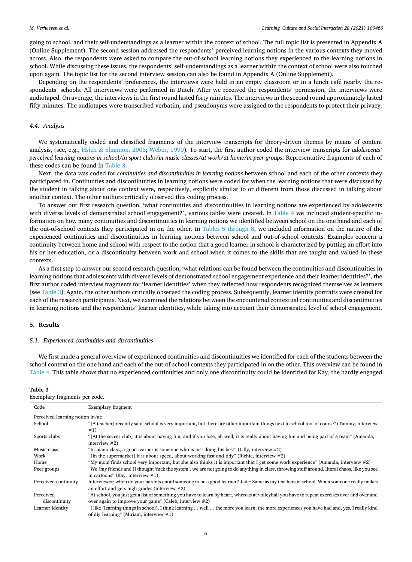<span id="page-6-0"></span>going to school, and their self-understandings as a learner within the context of school. The full topic list is presented in Appendix A (Online Supplement). The second session addressed the respondents' perceived learning notions in the various contexts they moved across. Also, the respondents were asked to compare the out-of-school learning notions they experienced to the learning notions in school. While discussing these issues, the respondents' self-understandings as a learner within the context of school were also touched upon again. The topic list for the second interview session can also be found in Appendix A (Online Supplement).

Depending on the respondents' preferences, the interviews were held in an empty classroom or in a lunch café nearby the respondents' schools. All interviews were performed in Dutch. After we received the respondents' permission, the interviews were audiotaped. On average, the interviews in the first round lasted forty minutes. The interviews in the second round approximately lasted fifty minutes. The audiotapes were transcribed verbatim, and pseudonyms were assigned to the respondents to protect their privacy.

#### *4.4. Analysis*

We systematically coded and classified fragments of the interview transcripts for theory-driven themes by means of content analysis, (see, e.g., Hsieh & [Shannon, 2005;](#page-17-0) [Weber, 1990](#page-17-0)). To start, the first author coded the interview transcripts for *adolescents' perceived learning notions in school/in sport clubs/in music classes/at work/at home/in peer groups*. Representative fragments of each of these codes can be found in Table 3.

Next, the data was coded for *continuities and discontinuities in learning notions* between school and each of the other contexts they participated in. Continuities and discontinuities in learning notions were coded for when the learning notions that were discussed by the student in talking about one context were, respectively, explicitly similar to or different from those discussed in talking about another context. The other authors critically observed this coding process.

To answer our first research question, 'what continuities and discontinuities in learning notions are experienced by adolescents with diverse levels of demonstrated school engagement?', various tables were created. In [Table 4](#page-7-0) we included student-specific information on how many continuities and discontinuities in learning notions we identified between school on the one hand and each of the out-of-school contexts they participated in on the other. In [Tables 5 through 8](#page-8-0), we included information on the nature of the experienced continuities and discontinuities in learning notions between school and out-of-school contexts. Examples concern a continuity between home and school with respect to the notion that a good learner in school is characterized by putting an effort into his or her education, or a discontinuity between work and school when it comes to the skills that are taught and valued in these contexts.

As a first step to answer our second research question, 'what relations can be found between the continuities and discontinuities in learning notions that adolescents with diverse levels of demonstrated school engagement experience and their learner identities?', the first author coded interview fragments for 'learner identities' when they reflected how respondents recognized themselves as learners (see Table 3). Again, the other authors critically observed the coding process. Subsequently, learner identity portraits were created for each of the research participants. Next, we examined the relations between the encountered contextual continuities and discontinuities in learning notions and the respondents' learner identities, while taking into account their demonstrated level of school engagement.

## **5. Results**

#### *5.1. Experienced continuities and discontinuities*

We first made a general overview of experienced continuities and discontinuities we identified for each of the students between the school context on the one hand and each of the out-of-school contexts they participated in on the other. This overview can be found in [Table 4](#page-7-0). This table shows that no experienced continuities and only one discontinuity could be identified for Kay, the hardly engaged

**Table 3** 

Exemplary fragments per code.

| еленирны у падписны рет соце.    |                                                                                                                                                |
|----------------------------------|------------------------------------------------------------------------------------------------------------------------------------------------|
| Code                             | Exemplary fragment                                                                                                                             |
| Perceived learning notion in/at: |                                                                                                                                                |
| School                           | "[A teacher] recently said 'school is very important, but there are other important things next to school too, of course" (Tammy, interview    |
|                                  | #1)                                                                                                                                            |
| Sports clubs                     | "[At the soccer club] it is about having fun, and if you lose, ah well, it is really about having fun and being part of a team" (Amanda,       |
|                                  | interview $#2$ )                                                                                                                               |
| Music class                      | "In piano class, a good learner is someone who is just doing his best" (Lilly, interview #2)                                                   |
| Work                             | "[In the supermarket] it is about speed, about working fast and tidy" (Richie, interview $#2$ )                                                |
| Home                             | "My mom finds school very important, but she also thinks it is important that I get some work experience" (Amanda, interview #2)               |
| Peer groups                      | "We [my friends and I] thought 'fuck the system', we are not going to do anything in class, throwing stuff around, literal chaos, like you see |
|                                  | in cartoons" (Kay, interview $#1$ )                                                                                                            |
| Perceived continuity             | Interviewer: when do your parents entail someone to be a good learner? Jade: Same as my teachers in school. When someone really makes          |
|                                  | an effort and gets high grades (interview $#2$ )                                                                                               |
| Perceived                        | "At school, you just get a list of something you have to learn by heart, whereas at volleyball you have to repeat exercises over and over and  |
| discontinuity                    | over again to improve your game" (Caleb, interview #2)                                                                                         |
| Learner identity                 | "I like [learning things in school]. I think learning  well  the more you learn, the more experiences you have had and, yes, I really kind     |
|                                  | of dig learning" (Miriam, interview $#1$ )                                                                                                     |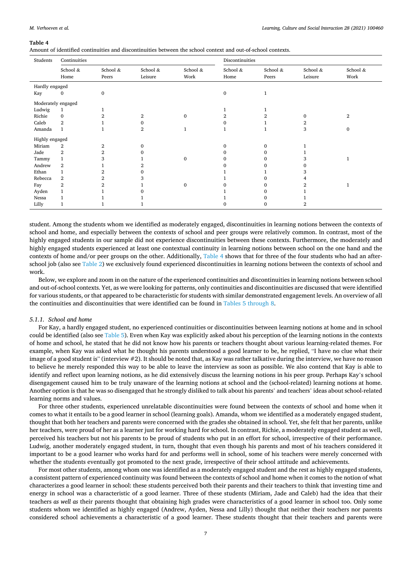#### <span id="page-7-0"></span>*M. Verhoeven et al.*

#### **Table 4**

Amount of identified continuities and discontinuities between the school context and out-of-school contexts.

| Students           | Continuities     |                   |                     |                  | Discontinuities  |                   |                     |                         |  |  |  |  |  |  |
|--------------------|------------------|-------------------|---------------------|------------------|------------------|-------------------|---------------------|-------------------------|--|--|--|--|--|--|
|                    | School &<br>Home | School &<br>Peers | School &<br>Leisure | School &<br>Work | School &<br>Home | School &<br>Peers | School &<br>Leisure | School &<br>Work        |  |  |  |  |  |  |
| Hardly engaged     |                  |                   |                     |                  |                  |                   |                     |                         |  |  |  |  |  |  |
| Kay                | $\bf{0}$         | $\bf{0}$          |                     |                  | $\bf{0}$         | 1                 |                     |                         |  |  |  |  |  |  |
| Moderately engaged |                  |                   |                     |                  |                  |                   |                     |                         |  |  |  |  |  |  |
| Ludwig             | $\mathbf{1}$     |                   |                     |                  |                  |                   |                     |                         |  |  |  |  |  |  |
| Richie             | $\mathbf{0}$     | $\overline{2}$    | $\overline{2}$      | $\Omega$         | 2                | $\overline{2}$    | $\Omega$            | $\overline{\mathbf{2}}$ |  |  |  |  |  |  |
| Caleb              | $\overline{2}$   |                   | 0                   |                  |                  |                   | 2                   |                         |  |  |  |  |  |  |
| Amanda             | $\mathbf{1}$     |                   | 2                   |                  |                  |                   | 3                   | $\bf{0}$                |  |  |  |  |  |  |
| Highly engaged     |                  |                   |                     |                  |                  |                   |                     |                         |  |  |  |  |  |  |
| Miriam             | 2                | $\overline{2}$    | $\Omega$            |                  | $\Omega$         | 0                 |                     |                         |  |  |  |  |  |  |
| Jade               | $\overline{2}$   | $\overline{2}$    |                     |                  |                  |                   |                     |                         |  |  |  |  |  |  |
| Tammy              | $\mathbf{1}$     |                   |                     | $\mathbf{0}$     |                  |                   |                     |                         |  |  |  |  |  |  |
| Andrew             | $\overline{2}$   |                   |                     |                  |                  |                   |                     |                         |  |  |  |  |  |  |
| Ethan              |                  |                   |                     |                  |                  |                   |                     |                         |  |  |  |  |  |  |
| Rebecca            | $\overline{2}$   | 2                 |                     |                  |                  |                   |                     |                         |  |  |  |  |  |  |
| Fay                | $\overline{2}$   |                   |                     | $\Omega$         |                  |                   |                     | $\mathbf{1}$            |  |  |  |  |  |  |
| Ayden              |                  |                   |                     |                  |                  |                   |                     |                         |  |  |  |  |  |  |
| Nessa              |                  |                   |                     |                  |                  |                   |                     |                         |  |  |  |  |  |  |
| Lilly              |                  |                   |                     |                  |                  | 0                 |                     |                         |  |  |  |  |  |  |

student. Among the students whom we identified as moderately engaged, discontinuities in learning notions between the contexts of school and home, and especially between the contexts of school and peer groups were relatively common. In contrast, most of the highly engaged students in our sample did not experience discontinuities between these contexts. Furthermore, the moderately and highly engaged students experienced at least one contextual continuity in learning notions between school on the one hand and the contexts of home and/or peer groups on the other. Additionally, Table 4 shows that for three of the four students who had an after-school job (also see [Table 2\)](#page-5-0) we exclusively found experienced discontinuities in learning notions between the contexts of school and work.

Below, we explore and zoom in on the nature of the experienced continuities and discontinuities in learning notions between school and out-of-school contexts. Yet, as we were looking for patterns, only continuities and discontinuities are discussed that were identified for various students, or that appeared to be characteristic for students with similar demonstrated engagement levels. An overview of all the continuities and discontinuities that were identified can be found in [Tables 5 through 8](#page-8-0).

#### *5.1.1. School and home*

For Kay, a hardly engaged student, no experienced continuities or discontinuities between learning notions at home and in school could be identified (also see [Table 5](#page-8-0)). Even when Kay was explicitly asked about his perception of the learning notions in the contexts of home and school, he stated that he did not know how his parents or teachers thought about various learning-related themes. For example, when Kay was asked what he thought his parents understood a good learner to be, he replied, "I have no clue what their image of a good student is" (interview #2). It should be noted that, as Kay was rather talkative during the interview, we have no reason to believe he merely responded this way to be able to leave the interview as soon as possible. We also contend that Kay is able to identify and reflect upon learning notions, as he did extensively discuss the learning notions in his peer group. Perhaps Kay's school disengagement caused him to be truly unaware of the learning notions at school and the (school-related) learning notions at home. Another option is that he was so disengaged that he strongly disliked to talk about his parents' and teachers' ideas about school-related learning norms and values.

For three other students, experienced unrelatable discontinuities were found between the contexts of school and home when it comes to what it entails to be a good learner in school (learning goals). Amanda, whom we identified as a moderately engaged student, thought that both her teachers and parents were concerned with the grades she obtained in school. Yet, she felt that her parents, unlike her teachers, were proud of her as a learner just for working hard for school. In contrast, Richie, a moderately engaged student as well, perceived his teachers but not his parents to be proud of students who put in an effort for school, irrespective of their performance. Ludwig, another moderately engaged student, in turn, thought that even though his parents and most of his teachers considered it important to be a good learner who works hard for and performs well in school, some of his teachers were merely concerned with whether the students eventually got promoted to the next grade, irrespective of their school attitude and achievements.

For most other students, among whom one was identified as a moderately engaged student and the rest as highly engaged students, a consistent pattern of experienced continuity was found between the contexts of school and home when it comes to the notion of what characterizes a good learner in school: these students perceived both their parents and their teachers to think that investing time and energy in school was a characteristic of a good learner. Three of these students (Miriam, Jade and Caleb) had the idea that their teachers *as well as* their parents thought that obtaining high grades were characteristics of a good learner in school too. Only some students whom we identified as highly engaged (Andrew, Ayden, Nessa and Lilly) thought that neither their teachers nor parents considered school achievements a characteristic of a good learner. These students thought that their teachers and parents were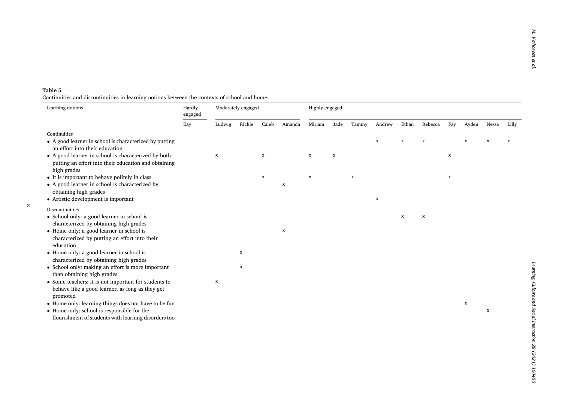# <span id="page-8-0"></span>**Table 5**  Continuities and discontinuities in learning notions between the contexts of school and home.

 $\infty$ 

| Learning notions                                                                                                                                                                                                  | Hardly<br>engaged |             | Moderately engaged |             |             | Highly engaged |             |             |             |             |             |             |             |             |              |  |
|-------------------------------------------------------------------------------------------------------------------------------------------------------------------------------------------------------------------|-------------------|-------------|--------------------|-------------|-------------|----------------|-------------|-------------|-------------|-------------|-------------|-------------|-------------|-------------|--------------|--|
|                                                                                                                                                                                                                   | Kay               | Ludwig      | Richie             | Caleb       | Amanda      | Miriam         | Jade        | Tammy       | Andrew      | Ethan       | Rebecca     | Fay         | Ayden       | Nessa       | Lilly        |  |
| Continuities<br>• A good learner in school is characterized by putting<br>an effort into their education                                                                                                          |                   |             |                    |             |             |                |             |             | $\mathbf x$ | $\mathbf x$ | $\mathbf x$ |             | $\mathbf x$ | X           | $\mathbf{x}$ |  |
| • A good learner in school is characterized by both<br>putting an effort into their education and obtaining<br>high grades                                                                                        |                   | $\mathbf x$ |                    | $\mathbf x$ |             | $\mathbf x$    | $\mathbf x$ |             |             |             |             | $\mathbf x$ |             |             |              |  |
| • It is important to behave politely in class<br>• A good learner in school is characterized by<br>obtaining high grades                                                                                          |                   |             |                    | $\mathbf x$ | X           | $\mathbf x$    |             | $\mathbf x$ |             |             |             | $\mathbf x$ |             |             |              |  |
| • Artistic development is important                                                                                                                                                                               |                   |             |                    |             |             |                |             |             | $\mathbf x$ |             |             |             |             |             |              |  |
| Discontinuities<br>• School only: a good learner in school is<br>characterized by obtaining high grades<br>• Home only: a good learner in school is<br>characterized by putting an effort into their<br>education |                   |             |                    |             | $\mathbf x$ |                |             |             |             | x           | $\mathbf x$ |             |             |             |              |  |
| • Home only: a good learner in school is<br>characterized by obtaining high grades                                                                                                                                |                   |             | $\mathbf x$        |             |             |                |             |             |             |             |             |             |             |             |              |  |
| • School only: making an effort is more important<br>than obtaining high grades                                                                                                                                   |                   |             | $\mathbf x$        |             |             |                |             |             |             |             |             |             |             |             |              |  |
| • Some teachers: it is not important for students to<br>behave like a good learner, as long as they get<br>promoted                                                                                               |                   | $\mathbf x$ |                    |             |             |                |             |             |             |             |             |             |             |             |              |  |
| • Home only: learning things does not have to be fun<br>• Home only: school is responsible for the<br>flourishment of students with learning disorders too                                                        |                   |             |                    |             |             |                |             |             |             |             |             |             | $\mathbf x$ | $\mathbf x$ |              |  |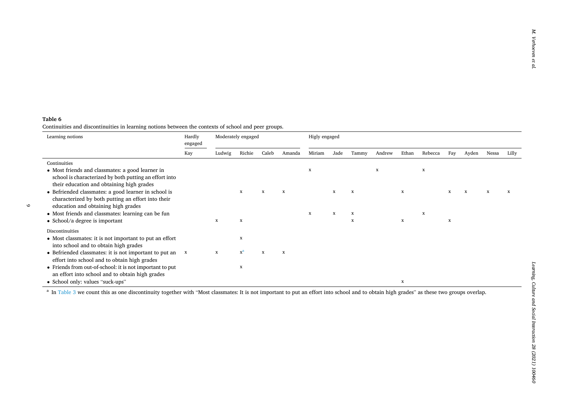# <span id="page-9-0"></span>**Table 6**  Continuities and discontinuities in learning notions between the contexts of school and peer groups.

 $\circ$ 

| Learning notions                                                                                                                                                                                | Hardly<br>engaged |             | Moderately engaged             |       |             | Higly engaged |                            |                  |        |             |         |     |             |       |       |  |
|-------------------------------------------------------------------------------------------------------------------------------------------------------------------------------------------------|-------------------|-------------|--------------------------------|-------|-------------|---------------|----------------------------|------------------|--------|-------------|---------|-----|-------------|-------|-------|--|
|                                                                                                                                                                                                 | Kay               | Ludwig      | Richie                         | Caleb | Amanda      | Miriam        | Jade                       | Tammy            | Andrew | Ethan       | Rebecca | Fay | Ayden       | Nessa | Lilly |  |
| Continuities<br>• Most friends and classmates: a good learner in<br>school is characterized by both putting an effort into<br>their education and obtaining high grades                         |                   |             |                                |       |             | $\mathbf x$   |                            |                  | x      |             | x       |     |             |       |       |  |
| • Befriended classmates: a good learner in school is<br>characterized by both putting an effort into their<br>education and obtaining high grades                                               |                   |             | x                              | x     | $\mathbf x$ | X             | $\mathbf x$<br>$\mathbf x$ | $\mathbf x$<br>x |        | $\mathbf x$ | x       | x   | $\mathbf x$ | X     |       |  |
| • Most friends and classmates: learning can be fun<br>• School/a degree is important                                                                                                            |                   | $\mathbf x$ | x                              |       |             |               |                            | $\mathbf x$      |        | $\mathbf x$ |         | X   |             |       |       |  |
| Discontinuities<br>• Most classmates: it is not important to put an effort<br>into school and to obtain high grades<br>• Befriended classmates: it is not important to put an                   | x                 | X           | X<br>$\mathbf{x}^{\mathbf{d}}$ | x     | x           |               |                            |                  |        |             |         |     |             |       |       |  |
| effort into school and to obtain high grades<br>• Friends from out-of-school: it is not important to put<br>an effort into school and to obtain high grades<br>• School only: values "suck-ups" |                   |             | X                              |       |             |               |                            |                  |        | x           |         |     |             |       |       |  |

<sup>a</sup> In [Table 3](#page-6-0) we count this as one discontinuity together with "Most classmates: It is not important to put an effort into school and to obtain high grades" as these two groups overlap.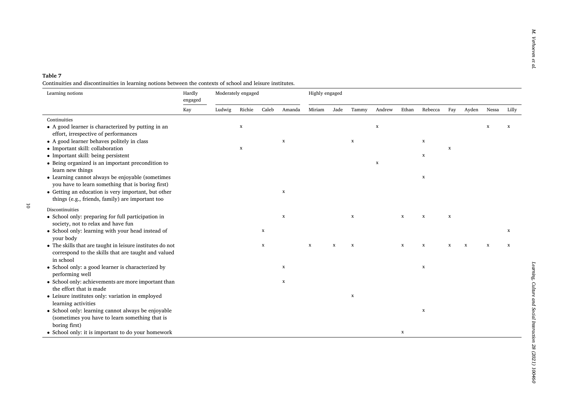#### <span id="page-10-0"></span>**Table 7**

Continuities and discontinuities in learning notions between the contexts of school and leisure institutes.

| Richie<br>Caleb<br>Andrew<br>Ayden<br>Ludwig<br>Amanda<br>Miriam<br>Jade<br>Tammy<br>Ethan<br>Rebecca<br>Fay<br>Nessa<br>Kay<br>Continuities<br>• A good learner is characterized by putting in an<br>$\mathbf x$<br>$\mathbf x$<br>$\mathbf x$<br>$\mathbf x$<br>effort, irrespective of performances<br>• A good learner behaves politely in class<br>$\mathbf x$<br>$\mathbf x$<br>$\mathbf x$<br>• Important skill: collaboration<br>$\mathbf x$<br>$\mathbf x$<br>• Important skill: being persistent<br>$\mathbf x$<br>• Being organized is an important precondition to<br>$\mathbf x$<br>learn new things<br>• Learning cannot always be enjoyable (sometimes<br>$\mathbf x$<br>you have to learn something that is boring first)<br>• Getting an education is very important, but other<br>$\mathbf x$<br>things (e.g., friends, family) are important too<br>Discontinuities<br>• School only: preparing for full participation in<br>$\mathbf x$<br>$\mathbf x$<br>$\mathbf x$<br>$\mathbf x$<br>$\mathbf x$<br>society, not to relax and have fun<br>• School only: learning with your head instead of<br>$\mathbf x$<br>$\mathbf x$<br>your body<br>• The skills that are taught in leisure institutes do not<br>$\mathbf x$<br>$\mathbf x$<br>$\mathbf x$<br>$\mathbf x$<br>$\mathbf x$<br>$\mathbf x$<br>x<br>$\mathbf x$<br>$\mathbf{x}$<br>X | Learning notions | Hardly<br>engaged | Moderately engaged |  |  |  | Highly engaged |  |  |  |  |  |  |  |  |       |  |  |
|---------------------------------------------------------------------------------------------------------------------------------------------------------------------------------------------------------------------------------------------------------------------------------------------------------------------------------------------------------------------------------------------------------------------------------------------------------------------------------------------------------------------------------------------------------------------------------------------------------------------------------------------------------------------------------------------------------------------------------------------------------------------------------------------------------------------------------------------------------------------------------------------------------------------------------------------------------------------------------------------------------------------------------------------------------------------------------------------------------------------------------------------------------------------------------------------------------------------------------------------------------------------------------------------------------------------------------------------------------------|------------------|-------------------|--------------------|--|--|--|----------------|--|--|--|--|--|--|--|--|-------|--|--|
|                                                                                                                                                                                                                                                                                                                                                                                                                                                                                                                                                                                                                                                                                                                                                                                                                                                                                                                                                                                                                                                                                                                                                                                                                                                                                                                                                               |                  |                   |                    |  |  |  |                |  |  |  |  |  |  |  |  | Lilly |  |  |
|                                                                                                                                                                                                                                                                                                                                                                                                                                                                                                                                                                                                                                                                                                                                                                                                                                                                                                                                                                                                                                                                                                                                                                                                                                                                                                                                                               |                  |                   |                    |  |  |  |                |  |  |  |  |  |  |  |  |       |  |  |
|                                                                                                                                                                                                                                                                                                                                                                                                                                                                                                                                                                                                                                                                                                                                                                                                                                                                                                                                                                                                                                                                                                                                                                                                                                                                                                                                                               |                  |                   |                    |  |  |  |                |  |  |  |  |  |  |  |  |       |  |  |
|                                                                                                                                                                                                                                                                                                                                                                                                                                                                                                                                                                                                                                                                                                                                                                                                                                                                                                                                                                                                                                                                                                                                                                                                                                                                                                                                                               |                  |                   |                    |  |  |  |                |  |  |  |  |  |  |  |  |       |  |  |
|                                                                                                                                                                                                                                                                                                                                                                                                                                                                                                                                                                                                                                                                                                                                                                                                                                                                                                                                                                                                                                                                                                                                                                                                                                                                                                                                                               |                  |                   |                    |  |  |  |                |  |  |  |  |  |  |  |  |       |  |  |
|                                                                                                                                                                                                                                                                                                                                                                                                                                                                                                                                                                                                                                                                                                                                                                                                                                                                                                                                                                                                                                                                                                                                                                                                                                                                                                                                                               |                  |                   |                    |  |  |  |                |  |  |  |  |  |  |  |  |       |  |  |
|                                                                                                                                                                                                                                                                                                                                                                                                                                                                                                                                                                                                                                                                                                                                                                                                                                                                                                                                                                                                                                                                                                                                                                                                                                                                                                                                                               |                  |                   |                    |  |  |  |                |  |  |  |  |  |  |  |  |       |  |  |
|                                                                                                                                                                                                                                                                                                                                                                                                                                                                                                                                                                                                                                                                                                                                                                                                                                                                                                                                                                                                                                                                                                                                                                                                                                                                                                                                                               |                  |                   |                    |  |  |  |                |  |  |  |  |  |  |  |  |       |  |  |
|                                                                                                                                                                                                                                                                                                                                                                                                                                                                                                                                                                                                                                                                                                                                                                                                                                                                                                                                                                                                                                                                                                                                                                                                                                                                                                                                                               |                  |                   |                    |  |  |  |                |  |  |  |  |  |  |  |  |       |  |  |
|                                                                                                                                                                                                                                                                                                                                                                                                                                                                                                                                                                                                                                                                                                                                                                                                                                                                                                                                                                                                                                                                                                                                                                                                                                                                                                                                                               |                  |                   |                    |  |  |  |                |  |  |  |  |  |  |  |  |       |  |  |
|                                                                                                                                                                                                                                                                                                                                                                                                                                                                                                                                                                                                                                                                                                                                                                                                                                                                                                                                                                                                                                                                                                                                                                                                                                                                                                                                                               |                  |                   |                    |  |  |  |                |  |  |  |  |  |  |  |  |       |  |  |
|                                                                                                                                                                                                                                                                                                                                                                                                                                                                                                                                                                                                                                                                                                                                                                                                                                                                                                                                                                                                                                                                                                                                                                                                                                                                                                                                                               |                  |                   |                    |  |  |  |                |  |  |  |  |  |  |  |  |       |  |  |
|                                                                                                                                                                                                                                                                                                                                                                                                                                                                                                                                                                                                                                                                                                                                                                                                                                                                                                                                                                                                                                                                                                                                                                                                                                                                                                                                                               |                  |                   |                    |  |  |  |                |  |  |  |  |  |  |  |  |       |  |  |
|                                                                                                                                                                                                                                                                                                                                                                                                                                                                                                                                                                                                                                                                                                                                                                                                                                                                                                                                                                                                                                                                                                                                                                                                                                                                                                                                                               |                  |                   |                    |  |  |  |                |  |  |  |  |  |  |  |  |       |  |  |
|                                                                                                                                                                                                                                                                                                                                                                                                                                                                                                                                                                                                                                                                                                                                                                                                                                                                                                                                                                                                                                                                                                                                                                                                                                                                                                                                                               |                  |                   |                    |  |  |  |                |  |  |  |  |  |  |  |  |       |  |  |
|                                                                                                                                                                                                                                                                                                                                                                                                                                                                                                                                                                                                                                                                                                                                                                                                                                                                                                                                                                                                                                                                                                                                                                                                                                                                                                                                                               |                  |                   |                    |  |  |  |                |  |  |  |  |  |  |  |  |       |  |  |
|                                                                                                                                                                                                                                                                                                                                                                                                                                                                                                                                                                                                                                                                                                                                                                                                                                                                                                                                                                                                                                                                                                                                                                                                                                                                                                                                                               |                  |                   |                    |  |  |  |                |  |  |  |  |  |  |  |  |       |  |  |
|                                                                                                                                                                                                                                                                                                                                                                                                                                                                                                                                                                                                                                                                                                                                                                                                                                                                                                                                                                                                                                                                                                                                                                                                                                                                                                                                                               |                  |                   |                    |  |  |  |                |  |  |  |  |  |  |  |  |       |  |  |
| correspond to the skills that are taught and valued                                                                                                                                                                                                                                                                                                                                                                                                                                                                                                                                                                                                                                                                                                                                                                                                                                                                                                                                                                                                                                                                                                                                                                                                                                                                                                           |                  |                   |                    |  |  |  |                |  |  |  |  |  |  |  |  |       |  |  |
| in school                                                                                                                                                                                                                                                                                                                                                                                                                                                                                                                                                                                                                                                                                                                                                                                                                                                                                                                                                                                                                                                                                                                                                                                                                                                                                                                                                     |                  |                   |                    |  |  |  |                |  |  |  |  |  |  |  |  |       |  |  |
| • School only: a good learner is characterized by<br>$\mathbf x$<br>$\mathbf x$                                                                                                                                                                                                                                                                                                                                                                                                                                                                                                                                                                                                                                                                                                                                                                                                                                                                                                                                                                                                                                                                                                                                                                                                                                                                               |                  |                   |                    |  |  |  |                |  |  |  |  |  |  |  |  |       |  |  |
| performing well                                                                                                                                                                                                                                                                                                                                                                                                                                                                                                                                                                                                                                                                                                                                                                                                                                                                                                                                                                                                                                                                                                                                                                                                                                                                                                                                               |                  |                   |                    |  |  |  |                |  |  |  |  |  |  |  |  |       |  |  |
| • School only: achievements are more important than<br>$\mathbf x$                                                                                                                                                                                                                                                                                                                                                                                                                                                                                                                                                                                                                                                                                                                                                                                                                                                                                                                                                                                                                                                                                                                                                                                                                                                                                            |                  |                   |                    |  |  |  |                |  |  |  |  |  |  |  |  |       |  |  |
| the effort that is made                                                                                                                                                                                                                                                                                                                                                                                                                                                                                                                                                                                                                                                                                                                                                                                                                                                                                                                                                                                                                                                                                                                                                                                                                                                                                                                                       |                  |                   |                    |  |  |  |                |  |  |  |  |  |  |  |  |       |  |  |
| $\bullet\,$ Leisure institutes only: variation in employed<br>$\mathbf x$                                                                                                                                                                                                                                                                                                                                                                                                                                                                                                                                                                                                                                                                                                                                                                                                                                                                                                                                                                                                                                                                                                                                                                                                                                                                                     |                  |                   |                    |  |  |  |                |  |  |  |  |  |  |  |  |       |  |  |
| learning activities<br>• School only: learning cannot always be enjoyable<br>$\mathbf x$                                                                                                                                                                                                                                                                                                                                                                                                                                                                                                                                                                                                                                                                                                                                                                                                                                                                                                                                                                                                                                                                                                                                                                                                                                                                      |                  |                   |                    |  |  |  |                |  |  |  |  |  |  |  |  |       |  |  |
| (sometimes you have to learn something that is                                                                                                                                                                                                                                                                                                                                                                                                                                                                                                                                                                                                                                                                                                                                                                                                                                                                                                                                                                                                                                                                                                                                                                                                                                                                                                                |                  |                   |                    |  |  |  |                |  |  |  |  |  |  |  |  |       |  |  |
| boring first)                                                                                                                                                                                                                                                                                                                                                                                                                                                                                                                                                                                                                                                                                                                                                                                                                                                                                                                                                                                                                                                                                                                                                                                                                                                                                                                                                 |                  |                   |                    |  |  |  |                |  |  |  |  |  |  |  |  |       |  |  |
| • School only: it is important to do your homework<br>$\mathbf x$                                                                                                                                                                                                                                                                                                                                                                                                                                                                                                                                                                                                                                                                                                                                                                                                                                                                                                                                                                                                                                                                                                                                                                                                                                                                                             |                  |                   |                    |  |  |  |                |  |  |  |  |  |  |  |  |       |  |  |

10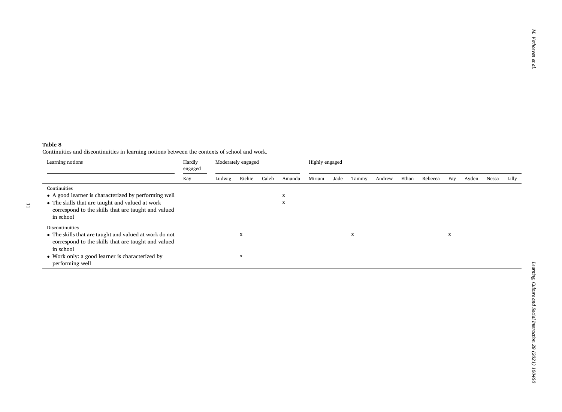#### <span id="page-11-0"></span>**Table 8**

 $\overline{\phantom{a}}$ 

Continuities and discontinuities in learning notions between the contexts of school and work.

| Learning notions                                                                                                                                                                            | Hardly<br>engaged |        | Moderately engaged |       |        |        | Highly engaged |       |        |       |         |     |       |       |       |
|---------------------------------------------------------------------------------------------------------------------------------------------------------------------------------------------|-------------------|--------|--------------------|-------|--------|--------|----------------|-------|--------|-------|---------|-----|-------|-------|-------|
|                                                                                                                                                                                             | Kay               | Ludwig | Richie             | Caleb | Amanda | Miriam | Jade           | Tammy | Andrew | Ethan | Rebecca | Fay | Ayden | Nessa | Lilly |
| Continuities<br>• A good learner is characterized by performing well<br>• The skills that are taught and valued at work<br>correspond to the skills that are taught and valued<br>in school |                   |        |                    |       | x<br>x |        |                |       |        |       |         |     |       |       |       |
| Discontinuities<br>• The skills that are taught and valued at work do not<br>correspond to the skills that are taught and valued<br>in school                                               |                   |        | X                  |       |        |        |                | x     |        |       |         | x   |       |       |       |
| • Work only: a good learner is characterized by<br>performing well                                                                                                                          |                   |        | X                  |       |        |        |                |       |        |       |         |     |       |       |       |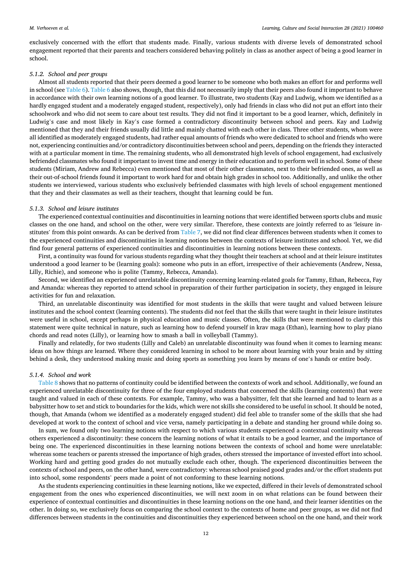exclusively concerned with the effort that students made. Finally, various students with diverse levels of demonstrated school engagement reported that their parents and teachers considered behaving politely in class as another aspect of being a good learner in school.

#### *5.1.2. School and peer groups*

Almost all students reported that their peers deemed a good learner to be someone who both makes an effort for and performs well in school (see [Table 6](#page-9-0)). [Table 6](#page-9-0) also shows, though, that this did not necessarily imply that their peers also found it important to behave in accordance with their own learning notions of a good learner. To illustrate, two students (Kay and Ludwig, whom we identified as a hardly engaged student and a moderately engaged student, respectively), only had friends in class who did not put an effort into their schoolwork and who did not seem to care about test results. They did not find it important to be a good learner, which, definitely in Ludwig's case and most likely in Kay's case formed a contradictory discontinuity between school and peers. Kay and Ludwig mentioned that they and their friends usually did little and mainly chatted with each other in class. Three other students, whom were all identified as moderately engaged students, had rather equal amounts of friends who were dedicated to school and friends who were not, experiencing continuities and/or contradictory discontinuities between school and peers, depending on the friends they interacted with at a particular moment in time. The remaining students, who all demonstrated high levels of school engagement, had exclusively befriended classmates who found it important to invest time and energy in their education and to perform well in school. Some of these students (Miriam, Andrew and Rebecca) even mentioned that most of their other classmates, next to their befriended ones, as well as their out-of-school friends found it important to work hard for and obtain high grades in school too. Additionally, and unlike the other students we interviewed, various students who exclusively befriended classmates with high levels of school engagement mentioned that they and their classmates as well as their teachers, thought that learning could be fun.

#### *5.1.3. School and leisure institutes*

The experienced contextual continuities and discontinuities in learning notions that were identified between sports clubs and music classes on the one hand, and school on the other, were very similar. Therefore, these contexts are jointly referred to as 'leisure in-stitutes' from this point onwards. As can be derived from [Table 7](#page-10-0), we did not find clear differences between students when it comes to the experienced continuities and discontinuities in learning notions between the contexts of leisure institutes and school. Yet, we did find four general patterns of experienced continuities and discontinuities in learning notions between these contexts.

First, a continuity was found for various students regarding what they thought their teachers at school and at their leisure institutes understood a good learner to be (learning goals): someone who puts in an effort, irrespective of their achievements (Andrew, Nessa, Lilly, Richie), and someone who is polite (Tammy, Rebecca, Amanda).

Second, we identified an experienced unrelatable discontinuity concerning learning-related goals for Tammy, Ethan, Rebecca, Fay and Amanda: whereas they reported to attend school in preparation of their further participation in society, they engaged in leisure activities for fun and relaxation.

Third, an unrelatable discontinuity was identified for most students in the skills that were taught and valued between leisure institutes and the school context (learning contents). The students did not feel that the skills that were taught in their leisure institutes were useful in school, except perhaps in physical education and music classes. Often, the skills that were mentioned to clarify this statement were quite technical in nature, such as learning how to defend yourself in krav maga (Ethan), learning how to play piano chords and read notes (Lilly), or learning how to smash a ball in volleyball (Tammy).

Finally and relatedly, for two students (Lilly and Caleb) an unrelatable discontinuity was found when it comes to learning means: ideas on how things are learned. Where they considered learning in school to be more about learning with your brain and by sitting behind a desk, they understood making music and doing sports as something you learn by means of one's hands or entire body.

# *5.1.4. School and work*

[Table 8](#page-11-0) shows that no patterns of continuity could be identified between the contexts of work and school. Additionally, we found an experienced unrelatable discontinuity for three of the four employed students that concerned the skills (learning contents) that were taught and valued in each of these contexts. For example, Tammy, who was a babysitter, felt that she learned and had to learn as a babysitter how to set and stick to boundaries for the kids, which were not skills she considered to be useful in school. It should be noted, though, that Amanda (whom we identified as a moderately engaged student) did feel able to transfer some of the skills that she had developed at work to the context of school and vice versa, namely participating in a debate and standing her ground while doing so.

In sum, we found only two learning notions with respect to which various students experienced a contextual continuity whereas others experienced a discontinuity: these concern the learning notions of what it entails to be a good learner, and the importance of being one. The experienced discontinuities in these learning notions between the contexts of school and home were unrelatable: whereas some teachers or parents stressed the importance of high grades, others stressed the importance of invested effort into school. Working hard and getting good grades do not mutually exclude each other, though. The experienced discontinuities between the contexts of school and peers, on the other hand, were contradictory: whereas school praised good grades and/or the effort students put into school, some respondents' peers made a point of not conforming to these learning notions.

As the students experiencing continuities in these learning notions, like we expected, differed in their levels of demonstrated school engagement from the ones who experienced discontinuities, we will next zoom in on what relations can be found between their experience of contextual continuities and discontinuities in these learning notions on the one hand, and their learner identities on the other. In doing so, we exclusively focus on comparing the school context to the contexts of home and peer groups, as we did not find differences between students in the continuities and discontinuities they experienced between school on the one hand, and their work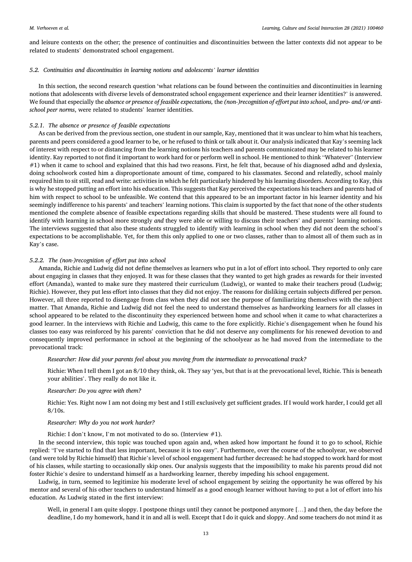and leisure contexts on the other; the presence of continuities and discontinuities between the latter contexts did not appear to be related to students' demonstrated school engagement.

### *5.2. Continuities and discontinuities in learning notions and adolescents' learner identities*

In this section, the second research question 'what relations can be found between the continuities and discontinuities in learning notions that adolescents with diverse levels of demonstrated school engagement experience and their learner identities?' is answered. We found that especially the *absence or presence of feasible expectations,* the *(non-)recognition of effort put into school*, and *pro- and/or antischool peer norms*, were related to students' learner identities.

#### *5.2.1. The absence or presence of feasible expectations*

As can be derived from the previous section, one student in our sample, Kay, mentioned that it was unclear to him what his teachers, parents and peers considered a good learner to be, or he refused to think or talk about it. Our analysis indicated that Kay's seeming lack of interest with respect to or distancing from the learning notions his teachers and parents communicated may be related to his learner identity. Kay reported to not find it important to work hard for or perform well in school. He mentioned to think "Whatever" (Interview #1) when it came to school and explained that this had two reasons. First, he felt that, because of his diagnosed adhd and dyslexia, doing schoolwork costed him a disproportionate amount of time, compared to his classmates. Second and relatedly, school mainly required him to sit still, read and write: activities in which he felt particularly hindered by his learning disorders. According to Kay, this is why he stopped putting an effort into his education. This suggests that Kay perceived the expectations his teachers and parents had of him with respect to school to be unfeasible. We contend that this appeared to be an important factor in his learner identity and his seemingly indifference to his parents' and teachers' learning notions. This claim is supported by the fact that none of the other students mentioned the complete absence of feasible expectations regarding skills that should be mastered. These students were all found to identify with learning in school more strongly *and* they were able or willing to discuss their teachers' and parents' learning notions. The interviews suggested that also these students struggled to identify with learning in school when they did not deem the school's expectations to be accomplishable. Yet, for them this only applied to one or two classes, rather than to almost all of them such as in Kay's case.

### *5.2.2. The (non-)recognition of effort put into school*

Amanda, Richie and Ludwig did not define themselves as learners who put in a lot of effort into school. They reported to only care about engaging in classes that they enjoyed. It was for these classes that they wanted to get high grades as rewards for their invested effort (Amanda), wanted to make sure they mastered their curriculum (Ludwig), or wanted to make their teachers proud (Ludwig; Richie). However, they put less effort into classes that they did not enjoy. The reasons for disliking certain subjects differed per person. However, all three reported to disengage from class when they did not see the purpose of familiarizing themselves with the subject matter. That Amanda, Richie and Ludwig did not feel the need to understand themselves as hardworking learners for all classes in school appeared to be related to the discontinuity they experienced between home and school when it came to what characterizes a good learner. In the interviews with Richie and Ludwig, this came to the fore explicitly. Richie's disengagement when he found his classes too easy was reinforced by his parents' conviction that he did not deserve any compliments for his renewed devotion to and consequently improved performance in school at the beginning of the schoolyear as he had moved from the intermediate to the prevocational track:

#### *Researcher: How did your parents feel about you moving from the intermediate to prevocational track?*

Richie: When I tell them I got an 8/10 they think, ok. They say 'yes, but that is at the prevocational level, Richie. This is beneath your abilities'. They really do not like it.

#### *Researcher: Do you agree with them?*

Richie: Yes. Right now I am not doing my best and I still exclusively get sufficient grades. If I would work harder, I could get all 8/10s.

#### *Researcher: Why do you not work harder?*

Richie: I don't know, I'm not motivated to do so. (Interview #1).

In the second interview, this topic was touched upon again and, when asked how important he found it to go to school, Richie replied: "I've started to find that less important, because it is too easy". Furthermore, over the course of the schoolyear, we observed (and were told by Richie himself) that Richie's level of school engagement had further decreased: he had stopped to work hard for most of his classes, while starting to occasionally skip ones. Our analysis suggests that the impossibility to make his parents proud did not foster Richie's desire to understand himself as a hardworking learner, thereby impeding his school engagement.

Ludwig, in turn, seemed to legitimize his moderate level of school engagement by seizing the opportunity he was offered by his mentor and several of his other teachers to understand himself as a good enough learner without having to put a lot of effort into his education. As Ludwig stated in the first interview:

Well, in general I am quite sloppy. I postpone things until they cannot be postponed anymore […] and then, the day before the deadline, I do my homework, hand it in and all is well. Except that I do it quick and sloppy. And some teachers do not mind it as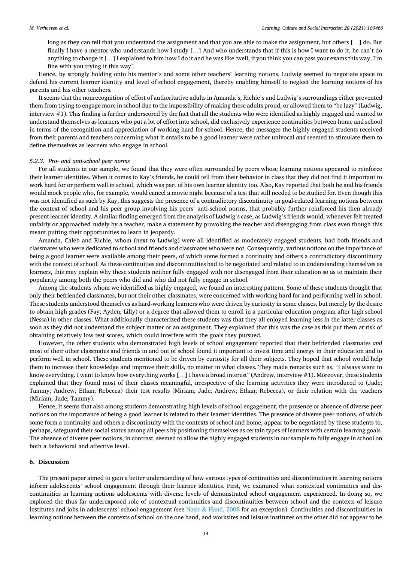long as they can tell that you understand the assignment and that you are able to make the assignment, but others […] do. But finally I have a mentor who understands how I study […] And who understands that if this is how I want to do it, he can't do anything to change it […] I explained to him how I do it and he was like 'well, if you think you can pass your exams this way, I'm fine with you trying it this way'.

Hence, by strongly holding onto his mentor's and some other teachers' learning notions, Ludwig seemed to negotiate space to defend his current learner identity and level of school engagement, thereby enabling himself to neglect the learning notions of his parents and his other teachers.

It seems that the nonrecognition of effort of authoritative adults in Amanda's, Richie's and Ludwig's surroundings either prevented them from trying to engage more in school due to the impossibility of making these adults proud, or allowed them to "be lazy" (Ludwig, interview #1). This finding is further underscored by the fact that all the students who were identified as highly engaged and wanted to understand themselves as learners who put a lot of effort into school, did exclusively experience continuities between home and school in terms of the recognition and appreciation of working hard for school. Hence, the messages the highly engaged students received from their parents and teachers concerning what it entails to be a good learner were rather univocal *and* seemed to stimulate them to define themselves as learners who engage in school.

# *5.2.3. Pro- and anti-school peer norms*

For all students in our sample, we found that they were often surrounded by peers whose learning notions appeared to reinforce their learner identities. When it comes to Kay's friends, he could tell from their behavior in class that they did not find it important to work hard for or perform well in school, which was part of his own learner identity too. Also, Kay reported that both he and his friends would mock people who, for example, would cancel a movie night because of a test that still needed to be studied for. Even though this was not identified as such by Kay, this suggests the presence of a contradictory discontinuity in goal-related learning notions between the context of school and his peer group involving his peers' anti-school norms, that probably further reinforced his then already present learner identity. A similar finding emerged from the analysis of Ludwig's case, as Ludwig's friends would, whenever felt treated unfairly or approached rudely by a teacher, make a statement by provoking the teacher and disengaging from class even though this meant putting their opportunities to learn in jeopardy.

Amanda, Caleb and Richie, whom (next to Ludwig) were all identified as moderately engaged students, had both friends and classmates who were dedicated to school and friends and classmates who were not. Consequently, various notions on the importance of being a good learner were available among their peers, of which some formed a continuity and others a contradictory discontinuity with the context of school. As these continuities and discontinuities had to be negotiated and related to in understanding themselves as learners, this may explain why these students neither fully engaged with nor disengaged from their education so as to maintain their popularity among both the peers who did and who did not fully engage in school.

Among the students whom we identified as highly engaged, we found an interesting pattern. Some of these students thought that only their befriended classmates, but not their other classmates, were concerned with working hard for and performing well in school. These students understood themselves as hard-working learners who were driven by curiosity in some classes, but merely by the desire to obtain high grades (Fay; Ayden; Lilly) or a degree that allowed them to enroll in a particular education program after high school (Nessa) in other classes. What additionally characterized these students was that they all enjoyed learning less in the latter classes as soon as they did not understand the subject matter or an assignment. They explained that this was the case as this put them at risk of obtaining relatively low test scores, which could interfere with the goals they pursued.

However, the other students who demonstrated high levels of school engagement reported that their befriended classmates *and*  most of their other classmates and friends in and out of school found it important to invest time and energy in their education and to perform well in school. These students mentioned to be driven by curiosity for all their subjects. They hoped that school would help them to increase their knowledge and improve their skills, no matter in what classes. They made remarks such as, "I always want to know everything. I want to know how everything works […] I have a broad interest" (Andrew, interview #1). Moreover, these students explained that they found most of their classes meaningful, irrespective of the learning activities they were introduced to (Jade; Tammy; Andrew; Ethan; Rebecca) their test results (Miriam; Jade; Andrew; Ethan; Rebecca), or their relation with the teachers (Miriam; Jade; Tammy).

Hence, it seems that also among students demonstrating high levels of school engagement, the presence or absence of diverse peer notions on the importance of being a good learner is related to their learner identities. The presence of diverse peer notions, of which some form a continuity and others a discontinuity with the contexts of school and home, appear to be negotiated by these students to, perhaps, safeguard their social status among all peers by positioning themselves as certain types of learners with certain learning goals. The absence of diverse peer notions, in contrast, seemed to allow the highly engaged students in our sample to fully engage in school on both a behavioral and affective level.

#### **6. Discussion**

The present paper aimed to gain a better understanding of how various types of continuities and discontinuities in learning notions inform adolescents' school engagement through their learner identities. First, we examined what contextual continuities and discontinuities in learning notions adolescents with diverse levels of demonstrated school engagement experienced. In doing so, we explored the thus far underexposed role of contextual continuities and discontinuities between school and the contexts of leisure institutes and jobs in adolescents' school engagement (see Nasir & [Hand, 2008](#page-17-0) for an exception). Continuities and discontinuities in learning notions between the contexts of school on the one hand, and worksites and leisure institutes on the other did not appear to be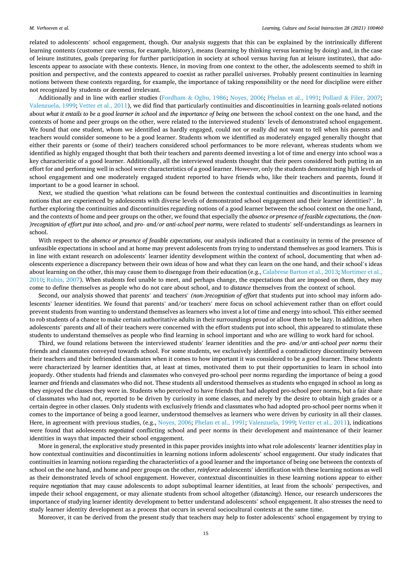#### *M. Verhoeven et al.*

related to adolescents' school engagement, though. Our analysis suggests that this can be explained by the intrinsically different learning contents (customer care versus, for example, history), means (learning by thinking versus learning by doing) and, in the case of leisure institutes, goals (preparing for further participation in society at school versus having fun at leisure institutes), that adolescents appear to associate with these contexts. Hence, in moving from one context to the other, the adolescents seemed to shift in position and perspective, and the contexts appeared to coexist as rather parallel universes. Probably present continuities in learning notions between these contexts regarding, for example, the importance of taking responsibility or the need for discipline were either not recognized by students or deemed irrelevant.

Additionally and in line with earlier studies (Fordham & [Ogbu, 1986](#page-17-0); [Noyes, 2006;](#page-17-0) [Phelan et al., 1991;](#page-17-0) Pollard & [Filer, 2007](#page-17-0); [Valenzuela, 1999](#page-17-0); [Vetter et al., 2011\)](#page-17-0), we did find that particularly continuities and discontinuities in learning goals-related notions about *what it entails to be a good learner in school* and *the importance of being one* between the school context on the one hand, and the contexts of home and peer groups on the other, were related to the interviewed students' levels of demonstrated school engagement. We found that one student, whom we identified as hardly engaged, could not or really did not want to tell when his parents and teachers would consider someone to be a good learner. Students whom we identified as moderately engaged generally thought that either their parents or (some of their) teachers considered school performances to be more relevant, whereas students whom we identified as highly engaged thought that both their teachers and parents deemed investing a lot of time and energy into school was a key characteristic of a good learner. Additionally, all the interviewed students thought that their peers considered both putting in an effort for and performing well in school were characteristics of a good learner. However, only the students demonstrating high levels of school engagement and one moderately engaged student reported to have friends who, like their teachers and parents, found it important to be a good learner in school.

Next, we studied the question 'what relations can be found between the contextual continuities and discontinuities in learning notions that are experienced by adolescents with diverse levels of demonstrated school engagement and their learner identities?'. In further exploring the continuities and discontinuities regarding notions of a good learner between the school context on the one hand, and the contexts of home and peer groups on the other, we found that especially the *absence or presence of feasible expectations,* the *(non- )recognition of effort put into school*, and *pro- and/or anti-school peer norms*, were related to students' self-understandings as learners in school.

With respect to the *absence or presence of feasible expectations*, our analysis indicated that a continuity in terms of the presence of unfeasible expectations in school and at home may prevent adolescents from trying to understand themselves as good learners. This is in line with extant research on adolescents' learner identity development within the context of school, documenting that when adolescents experience a discrepancy between their own ideas of how and what they can learn on the one hand, and their school's ideas about learning on the other, this may cause them to disengage from their education (e.g., [Calabrese Barton et al., 2013](#page-16-0); [Mortimer et al.,](#page-17-0) [2010;](#page-17-0) [Rubin, 2007](#page-17-0)). When students feel unable to meet, and perhaps change, the expectations that are imposed on them, they may come to define themselves as people who do not care about school, and to *distance* themselves from the context of school.

Second, our analysis showed that parents' and teachers' *(non-)recognition of effort* that students put into school may inform adolescents' learner identities. We found that parents' and/or teachers' mere focus on school achievement rather than on effort could prevent students from wanting to understand themselves as learners who invest a lot of time and energy into school. This either seemed to rob students of a chance to make certain authoritative adults in their surroundings proud or allow them to be lazy. In addition, when adolescents' parents *and* all of their teachers were concerned with the effort students put into school, this appeared to stimulate these students to understand themselves as people who find learning in school important and who are willing to work hard for school.

Third, we found relations between the interviewed students' learner identities and the *pro- and/or anti-school peer norms* their friends and classmates conveyed towards school. For some students, we exclusively identified a contradictory discontinuity between their teachers and their befriended classmates when it comes to how important it was considered to be a good learner. These students were characterized by learner identities that, at least at times, motivated them to put their opportunities to learn in school into jeopardy. Other students had friends and classmates who conveyed pro-school peer norms regarding the importance of being a good learner *and* friends and classmates who did not. These students all understood themselves as students who engaged in school as long as they enjoyed the classes they were in. Students who perceived to have friends that had adopted pro-school peer norms, but a fair share of classmates who had not, reported to be driven by curiosity in some classes, and merely by the desire to obtain high grades or a certain degree in other classes. Only students with exclusively friends and classmates who had adopted pro-school peer norms when it comes to the importance of being a good learner, understood themselves as learners who were driven by curiosity in all their classes. Here, in agreement with previous studies, (e.g., [Noyes, 2006](#page-17-0); [Phelan et al., 1991](#page-17-0); [Valenzuela, 1999](#page-17-0); [Vetter et al., 2011\)](#page-17-0), indications were found that adolescents *negotiated* conflicting school and peer norms in their development and maintenance of their learner identities in ways that impacted their school engagement.

More in general, the explorative study presented in this paper provides insights into what role adolescents' learner identities play in how contextual continuities and discontinuities in learning notions inform adolescents' school engagement. Our study indicates that continuities in learning notions regarding the characteristics of a good learner and the importance of being one between the contexts of school on the one hand, and home and peer groups on the other, *reinforce* adolescents' identification with these learning notions as well as their demonstrated levels of school engagement. However, contextual discontinuities in these learning notions appear to either require *negotiation* that may cause adolescents to adopt suboptimal learner identities, at least from the schools' perspectives, and impede their school engagement, or may alienate students from school altogether (*distancing*). Hence, our research underscores the importance of studying learner identity development to better understand adolescents' school engagement. It also stresses the need to study learner identity development as a process that occurs in several sociocultural contexts at the same time.

Moreover, it can be derived from the present study that teachers may help to foster adolescents' school engagement by trying to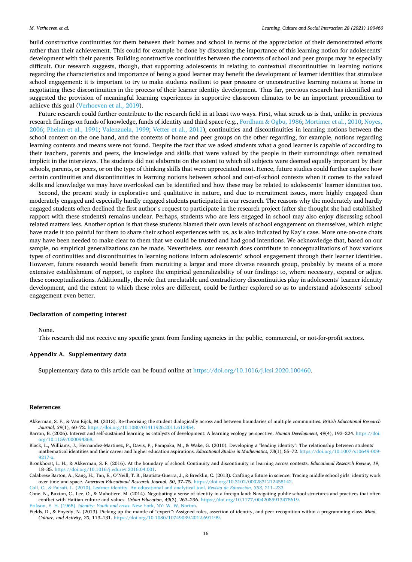<span id="page-16-0"></span>build constructive continuities for them between their homes and school in terms of the appreciation of their demonstrated efforts rather than their achievement. This could for example be done by discussing the importance of this learning notion for adolescents' development with their parents. Building constructive continuities between the contexts of school and peer groups may be especially difficult. Our research suggests, though, that supporting adolescents in relating to contextual discontinuities in learning notions regarding the characteristics and importance of being a good learner may benefit the development of learner identities that stimulate school engagement: it is important to try to make students resilient to peer pressure or unconstructive learning notions at home in negotiating these discontinuities in the process of their learner identity development. Thus far, previous research has identified and suggested the provision of meaningful learning experiences in supportive classroom climates to be an important precondition to achieve this goal ([Verhoeven et al., 2019](#page-17-0)).

Future research could further contribute to the research field in at least two ways. First, what struck us is that, unlike in previous research findings on funds of knowledge, funds of identity and third space (e.g., Fordham & [Ogbu, 1986](#page-17-0); [Mortimer et al., 2010; Noyes,](#page-17-0) [2006;](#page-17-0) [Phelan et al., 1991](#page-17-0); [Valenzuela, 1999](#page-17-0); [Vetter et al., 2011](#page-17-0)), continuities and discontinuities in learning notions between the school context on the one hand, and the contexts of home and peer groups on the other regarding, for example, notions regarding learning contents and means were not found. Despite the fact that we asked students what a good learner is capable of according to their teachers, parents and peers, the knowledge and skills that were valued by the people in their surroundings often remained implicit in the interviews. The students did not elaborate on the extent to which all subjects were deemed equally important by their schools, parents, or peers, or on the type of thinking skills that were appreciated most. Hence, future studies could further explore how certain continuities and discontinuities in learning notions between school and out-of-school contexts when it comes to the valued skills and knowledge we may have overlooked can be identified and how these may be related to adolescents' learner identities too.

Second, the present study is explorative and qualitative in nature, and due to recruitment issues, more highly engaged than moderately engaged and especially hardly engaged students participated in our research. The reasons why the moderately and hardly engaged students often declined the first author's request to participate in the research project (after she thought she had established rapport with these students) remains unclear. Perhaps, students who are less engaged in school may also enjoy discussing school related matters less. Another option is that these students blamed their own levels of school engagement on themselves, which might have made it too painful for them to share their school experiences with us, as is also indicated by Kay's case. More one-on-one chats may have been needed to make clear to them that we could be trusted and had good intentions. We acknowledge that, based on our sample, no empirical generalizations can be made. Nevertheless, our research does contribute to conceptualizations of how various types of continuities and discontinuities in learning notions inform adolescents' school engagement through their learner identities. However, future research would benefit from recruiting a larger and more diverse research group, probably by means of a more extensive establishment of rapport, to explore the empirical generalizability of our findings: to, where necessary, expand or adjust these conceptualizations. Additionally, the role that unrelatable and contradictory discontinuities play in adolescents' learner identity development, and the extent to which these roles are different, could be further explored so as to understand adolescents' school engagement even better.

#### **Declaration of competing interest**

None.

This research did not receive any specific grant from funding agencies in the public, commercial, or not-for-profit sectors.

#### **Appendix A. Supplementary data**

Supplementary data to this article can be found online at [https://doi.org/10.1016/j.lcsi.2020.100460.](https://doi.org/10.1016/j.lcsi.2020.100460)

#### **References**

- Akkerman, S. F., & Van Eijck, M. (2013). Re-theorising the student dialogically across and between boundaries of multiple communities. *British Educational Research Journal, 39*(1), 60–72. <https://doi.org/10.1080/01411926.2011.613454>.
- Barron, B. (2006). Interest and self-sustained learning as catalysts of development: A learning ecology perspective. *Human Development, 49*(4), 193–224. [https://doi.](https://doi.org/10.1159/000094368) [org/10.1159/000094368](https://doi.org/10.1159/000094368).
- Black, L., Williams, J., Hernandez-Martinez, P., Davis, P., Pampaka, M., & Wake, G. (2010). Developing a "leading identity": The relationship between students' mathematical identities and their career and higher education aspirations. *Educational Studies in Mathematics, 73*(1), 55–72. [https://doi.org/10.1007/s10649-009-](https://doi.org/10.1007/s10649-009-9217-x) [9217-x.](https://doi.org/10.1007/s10649-009-9217-x)

Bronkhorst, L. H., & Akkerman, S. F. (2016). At the boundary of school: Continuity and discontinuity in learning across contexts. *Educational Research Review, 19*, 18–35. [https://doi.org/10.1016/j.edurev.2016.04.001.](https://doi.org/10.1016/j.edurev.2016.04.001)

Calabrese Barton, A., Kang, H., Tan, E., O'Neill, T. B., Bautista-Guerra, J., & Brecklin, C. (2013). Crafting a future in science: Tracing middle school girls' identity work over time and space. *American Educational Research Journal, 50*, 37–75. [https://doi.org/10.3102/0002831212458142.](https://doi.org/10.3102/0002831212458142)

[Coll, C., & Falsafi, L. \(2010\). Learner identity. An educational and analytical tool.](http://refhub.elsevier.com/S2210-6561(20)30131-8/rf0035) *Revista de Educacion,* ´ *353*, 211–233.

Cone, N., Buxton, C., Lee, O., & Mahotiere, M. (2014). Negotiating a sense of identity in a foreign land: Navigating public school structures and practices that often conflict with Haitian culture and values. *Urban Education, 49*(3), 263–296. [https://doi.org/10.1177/0042085913478619.](https://doi.org/10.1177/0042085913478619) Erikson, E. H. (1968). *Identity: Youth and crisis*[. New York, NY: W. W. Norton.](http://refhub.elsevier.com/S2210-6561(20)30131-8/rf0045)

Fields, D., & Enyedy, N. (2013). Picking up the mantle of "expert": Assigned roles, assertion of identity, and peer recognition within a programming class. *Mind, Culture, and Activity, 20*, 113–131.<https://doi.org/10.1080/10749039.2012.691199>.